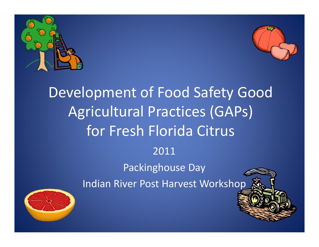



# 2011 Packinghouse Day Indian River Post Harvest Workshop Development of Food Safety Good Agricultural Practices (GAPs) for Fresh Florida Citrus

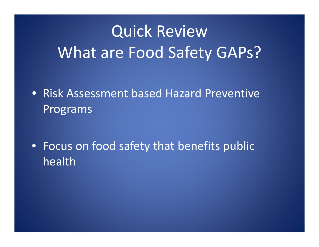# Quick Review What are Food Safety GAPs?

- Risk Assessment based Hazard Preventive Programs
- Focus on food safety that benefits public health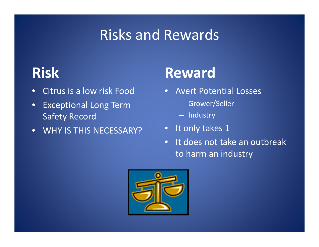### Risks and Rewards

### **Risk**

- •Citrus is a low risk Food
- • Exceptional Long Term Safety Record
- •WHY IS THIS NECESSARY?

### **Reward**

- Avert Potential Losses
	- Grower/Seller
	- Industry
- It only takes 1
- •• It does not take an outbreak to harm an industry

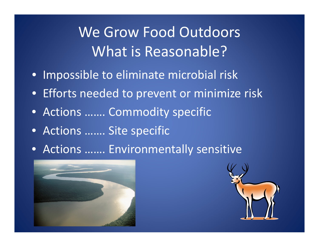# We Grow Food Outdoors What is Reasonable?

- Impossible to eliminate microbial risk
- Efforts needed to prevent or minimize risk
- Actions ……. Commodity specific
- Actions ……. Site specific
- Actions ……. Environmentally sensitive



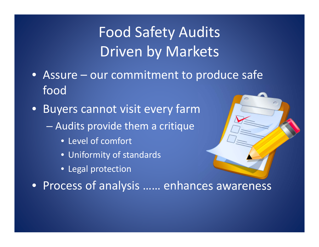# Food Safety Audits Driven by Markets

- Assure our commitment to produce safe food
- Buyers cannot visit every farm
	- Audits provide them <sup>a</sup> critique
		- Level of comfort
		- Uniformity of standards
		- Legal protection

• Process of analysis …… enhances awareness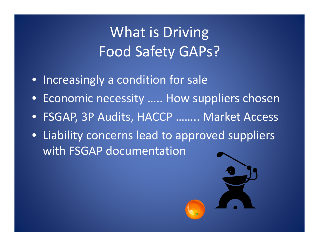# What is Driving Food Safety GAPs?

- Increasingly <sup>a</sup> condition for sale
- Economic necessity ….. How suppliers chosen
- FSGAP, 3P Audits, HACCP …….. Market Access
- Liability concerns lead to approved suppliers with FSGAP documentation

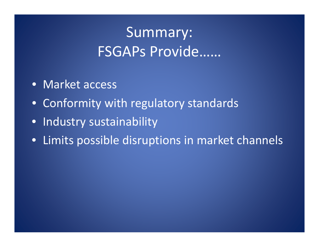## Summary: FSGAPs Provide……

- Market access
- Conformity with regulatory standards
- Industry sustainability
- Limits possible disruptions in market channels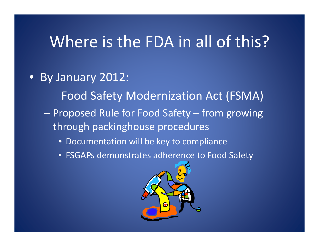### Where is the FDA in all of this?

#### • By January 2012:

Food Safety Modernization Act (FSMA)

- Proposed Rule for Food Safety from growing through packinghouse procedures
	- Documentation will be key to compliance
	- FSGAPs demonstrates adherence to Food Safety

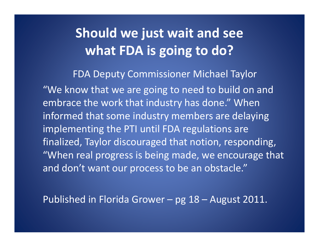### **Should we just wait and see what FDA is going to do?**

#### FDA Deputy Commissioner Michael Taylor

"We know that we are going to need to build on and embrace the work that industry has done." When informed that some industry members are delaying implementing the PTI until FDA regulations are finalized, Taylor discouraged that notion, responding, "When real progress is being made, we encourage that and don't want our process to be an obstacle."

Published in Florida Grower – pg 18 – August 2011.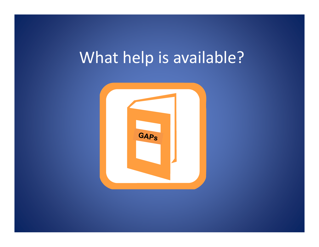# What help is available?

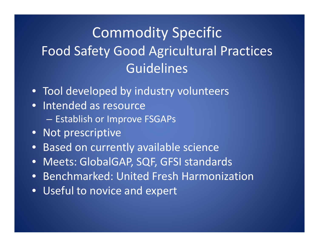## Commodity Specific Food Safety Good Agricultural Practices Guidelines

- Tool developed by industry volunteers
- Intended as resource
	- $-$  Establish or Improve FSGAPs
- Not prescriptive
- •Based on currently available science
- •Meets: GlobalGAP, SQF, GFSI standards
- Benchmarked: United Fresh Harmonization
- Useful to novice and expert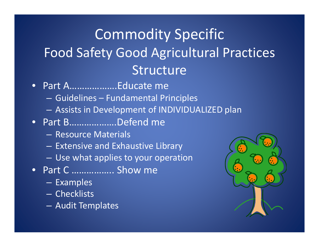## Commodity Specific Food Safety Good Agricultural Practices Structure

- • Part A……………….Educate me
	- Guidelines Fundamental Principles
	- –Assists in Development of INDIVIDUALIZED plan
- Part B……………….Defend me
	- Resource Materials
	- – $-$  Extensive and Exhaustive Library
	- Use what applies to your operation
- Part C …………….. Show me
	- –- Examples
	- Checklists
	- $\mathcal{L}_{\mathcal{A}}$ Audit Templates

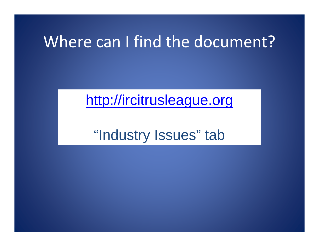### Where can I find the document?

http://ircitrusleague.org

### "Industry Issues" tab